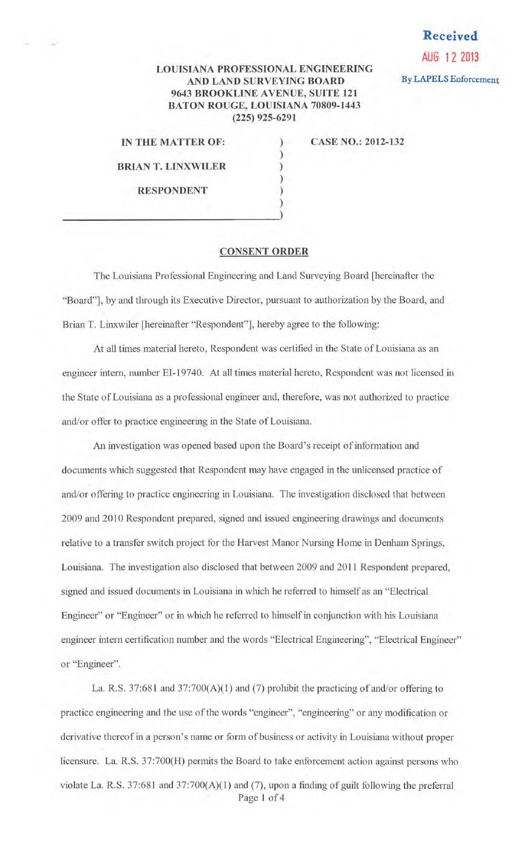## **Received**

**AUG 12 2013** 

## **LOUISIANA PROFESSIONAL ENGINEERING AND LAND SURVEYING BOARD By LAPELS** Enforcement **9643 BROOKLINE A VENUE, SUITE 121 BATON ROUGE, LOUISIANA 70809-1443 (225) 925-6291**

) ) ) ) ) )

**IN THE MATTER OF: CASE NO.: 2012-132** 

**BRIANT. LINXWILER** 

**RESPONDENT** 

## **CONSENT ORDER**

The Louisiana Professional Engineering and Land Surveying Board [hereinafter the "Board"], by and through its Executive Director, pursuant to authorization by the Board, and Brian T. Linxwiler [hereinafter "Respondent"], hereby agree to the following:

At all times material hereto, Respondent was certified in the State of Louisiana as an engineer intern, nwnber EI-19740. At all times material hereto, Respondent was not licensed in the State of Louisiana as a professional engineer and, therefore, was not authorized to practice and/or offer to practice engineering in the State of Louisiana.

An investigation was opened based upon the Board's receipt of information and documents which suggested that Respondent may have engaged in the unlicensed practice of and/or offering to practice engineering in Louisiana. The investigation disclosed that between 2009 and 2010 Respondent prepared, signed and issued engineering drawings and documents relative to a transfer switch project for the Harvest Manor Nursing Home in Denham Springs, Louisiana. The investigation also disclosed that between 2009 and 2011 Respondent prepared. signed and issued documents in Louisiana in which he referred to himself as an "Electrical Engineer" or "Engineer" or in which he referred to himself in conjunction with his Louisiana engineer intern certification number and the words "Electrical Engineering", "Electrical Engineer" or "Engineer".

La. R.S. 37:681 and 37:700(A)(1) and (7) prohibit the practicing of and/or offering to practice engineering and the use of the words "engineer", "engineering" or any modification or derivative thereof in a person's name or form of business or activity in Louisiana without proper licensure. La. R.S. 37:700(H) permits the Board to take enforcement action against persons who violate La. R.S. 37:681 and 37:700(A)(1) and (7), upon a finding of guilt following the preferral Page 1 of 4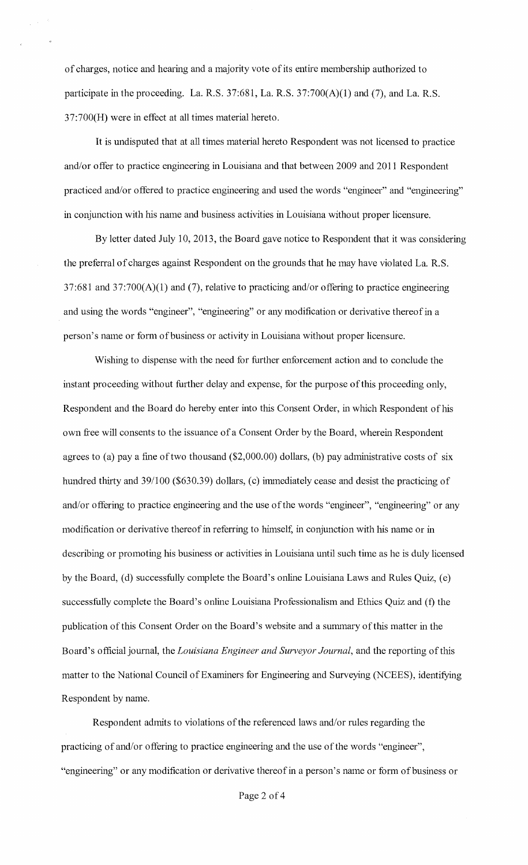of charges, notice and hearing and a majority vote of its entire membership authorized to participate in the proceeding. La. R.S. 37:681, La. R.S. 37:700(A)(l) and (7), and La. R.S. 37:700(H) were in effect at all times material hereto.

It is undisputed that at all times material hereto Respondent was not licensed to practice and/or offer to practice engineering in Louisiana and that between 2009 and 2011 Respondent practiced and/or offered to practice engineering and used the words "engineer" and "engineering" in conjunction with his name and business activities in Louisiana without proper licensure.

By letter dated July 10, 2013, the Board gave notice to Respondent that it was considering the preferral of charges against Respondent on the grounds that he may have violated La. R.S. 37:681 and 37:700(A)(l) and (7), relative to practicing and/or offering to practice engineering and using the words "engineer", "engineering" or any modification or derivative thereof in a person's name or form of business or activity in Louisiana without proper licensure.

Wishing to dispense with the need for further enforcement action and to conclude the instant proceeding without further delay and expense, for the purpose of this proceeding only, Respondent and the Board do hereby enter into this Consent Order, in which Respondent of his own free will consents to the issuance of a Consent Order by the Board, wherein Respondent agrees to (a) pay a fine of two thousand  $(\$2,000.00)$  dollars, (b) pay administrative costs of six hundred thirty and 39/100 (\$630.39) dollars, (c) immediately cease and desist the practicing of and/or offering to practice engineering and the use of the words "engineer", "engineering" or any modification or derivative thereof in referring to himself, in conjunction with his name or in describing or promoting his business or activities in Louisiana until such time as he is duly licensed by the Board, (d) successfully complete the Board's online Louisiana Laws and Rules Quiz, (e) successfully complete the Board's online Louisiana Professionalism and Ethics Quiz and (f) the publication of this Consent Order on the Board's website and a summary of this matter in the Board's official journal, the *Louisiana Engineer and Surveyor Journal,* and the reporting of this matter to the National Council of Examiners for Engineering and Surveying (NCEES), identifying Respondent by name.

Respondent admits to violations of the referenced laws and/or rules regarding the practicing of and/or offering to practice engineering and the use of the words "engineer", "engineering" or any modification or derivative thereof in a person's name or form of business or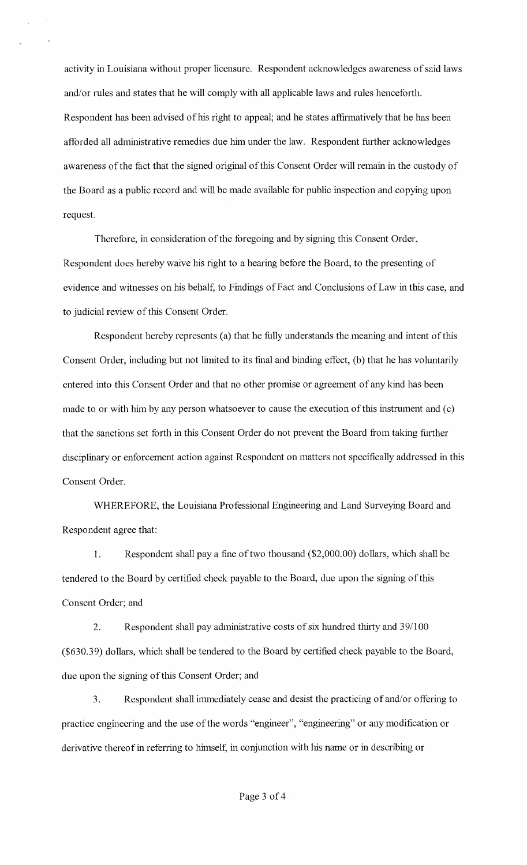activity in Louisiana without proper licensure. Respondent acknowledges awareness of said laws and/or rules and states that he will comply with all applicable laws and rules henceforth. Respondent has been advised of his right to appeal; and he states affinnatively that he has been afforded all administrative remedies due him under the law. Respondent further acknowledges awareness of the fact that the signed original of this Consent Order will remain in the custody of the Board as a public record and will be made available for public inspection and copying upon request.

Therefore, in consideration of the foregoing and by signing this Consent Order, Respondent does hereby waive his right to a hearing before the Board, to the presenting of evidence and witnesses on his behalf, to Findings of Fact and Conclusions of Law in this case, and to judicial review of this Consent Order.

Respondent hereby represents (a) that he fully understands the meaning and intent of this Consent Order, including but not limited to its final and binding effect, (b) that he has voluntarily entered into this Consent Order and that no other promise or agreement of any kind has been made to or with him by any person whatsoever to cause the execution of this instrument and (c) that the sanctions set forth in this Consent Order do not prevent the Board from taking further disciplinary or enforcement action against Respondent on matters not specifically addressed in this Consent Order.

WHEREFORE, the Louisiana Professional Engineering and Land Surveying Board and Respondent agree that:

1. Respondent shall pay a fine of two thousand (\$2,000.00) dollars, which shall be tendered to the Board by certified check payable to the Board, due upon the signing of this Consent Order; and

2. Respondent shall pay administrative costs of six hundred thirty and 39/100 (\$630.39) dollars, which shall be tendered to the Board by certified check payable to the Board, due upon the signing of this Consent Order; and

3. Respondent shall immediately cease and desist the practicing of and/or offering to practice engineering and the use of the words "engineer", "engineering" or any modification or derivative thereof in referring to himself, in conjunction with his name or in describing or